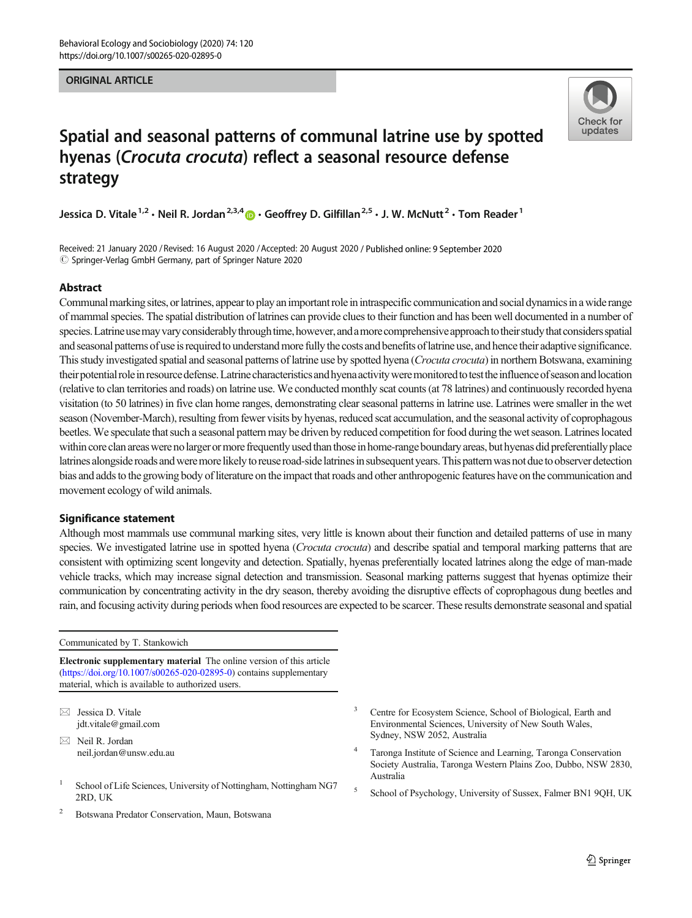#### ORIGINAL ARTICLE



# Spatial and seasonal patterns of communal latrine use by spotted hyenas (Crocuta crocuta) reflect a seasonal resource defense strategy

Jessica D. Vitale<sup>1,2</sup> · Neil R. Jordan<sup>2,3,4</sup>  $\bullet$  · Geoffrey D. Gilfillan<sup>2,5</sup> · J. W. McNutt<sup>2</sup> · Tom Reader<sup>1</sup>

Received: 21 January 2020 / Revised: 16 August 2020 /Accepted: 20 August 2020 / Published online: 9 September 2020  $\circled{c}$  Springer-Verlag GmbH Germany, part of Springer Nature 2020

## Abstract

Communal marking sites, or latrines, appear to play an important role in intraspecific communication and social dynamics in a wide range of mammal species. The spatial distribution of latrines can provide clues to their function and has been well documented in a number of species. Latrine use may vary considerably through time, however, and a more comprehensive approach to their study that considers spatial and seasonal patterns of use is required to understand more fully the costs and benefits of latrine use, and hence their adaptive significance. This study investigated spatial and seasonal patterns of latrine use by spotted hyena (Crocuta crocuta) in northern Botswana, examining their potential role in resource defense. Latrine characteristics and hyena activity were monitored to test the influence of season and location (relative to clan territories and roads) on latrine use. We conducted monthly scat counts (at 78 latrines) and continuously recorded hyena visitation (to 50 latrines) in five clan home ranges, demonstrating clear seasonal patterns in latrine use. Latrines were smaller in the wet season (November-March), resulting from fewer visits by hyenas, reduced scat accumulation, and the seasonal activity of coprophagous beetles.We speculate that such a seasonal pattern may be driven by reduced competition for food during the wet season. Latrines located within core clan areas were no larger or more frequently used than those in home-range boundary areas, but hyenas did preferentially place latrines alongside roads and were more likely to reuse road-side latrines in subsequent years. This pattern was not due to observer detection bias and adds to the growing body of literature on the impact that roads and other anthropogenic features have on the communication and movement ecology of wild animals.

#### Significance statement

Although most mammals use communal marking sites, very little is known about their function and detailed patterns of use in many species. We investigated latrine use in spotted hyena (*Crocuta crocuta*) and describe spatial and temporal marking patterns that are consistent with optimizing scent longevity and detection. Spatially, hyenas preferentially located latrines along the edge of man-made vehicle tracks, which may increase signal detection and transmission. Seasonal marking patterns suggest that hyenas optimize their communication by concentrating activity in the dry season, thereby avoiding the disruptive effects of coprophagous dung beetles and rain, and focusing activity during periods when food resources are expected to be scarcer. These results demonstrate seasonal and spatial

Communicated by T. Stankowich

Electronic supplementary material The online version of this article ([https://doi.org/10.1007/s00265-020-02895-0\)](https://doi.org/10.1007/s00265-020-02895-0) contains supplementary material, which is available to authorized users.

 $\boxtimes$  Jessica D. Vitale [jdt.vitale@gmail.com](mailto:jdt.vitale@gmail.com)

 $\boxtimes$  Neil R. Jordan [neil.jordan@unsw.edu.au](mailto:neil.jordan@unsw.edu.au)

- <sup>1</sup> School of Life Sciences, University of Nottingham, Nottingham NG7 2RD, UK
- <sup>2</sup> Botswana Predator Conservation, Maun, Botswana
- Centre for Ecosystem Science, School of Biological, Earth and Environmental Sciences, University of New South Wales, Sydney, NSW 2052, Australia
- <sup>4</sup> Taronga Institute of Science and Learning, Taronga Conservation Society Australia, Taronga Western Plains Zoo, Dubbo, NSW 2830, Australia
- <sup>5</sup> School of Psychology, University of Sussex, Falmer BN1 9QH, UK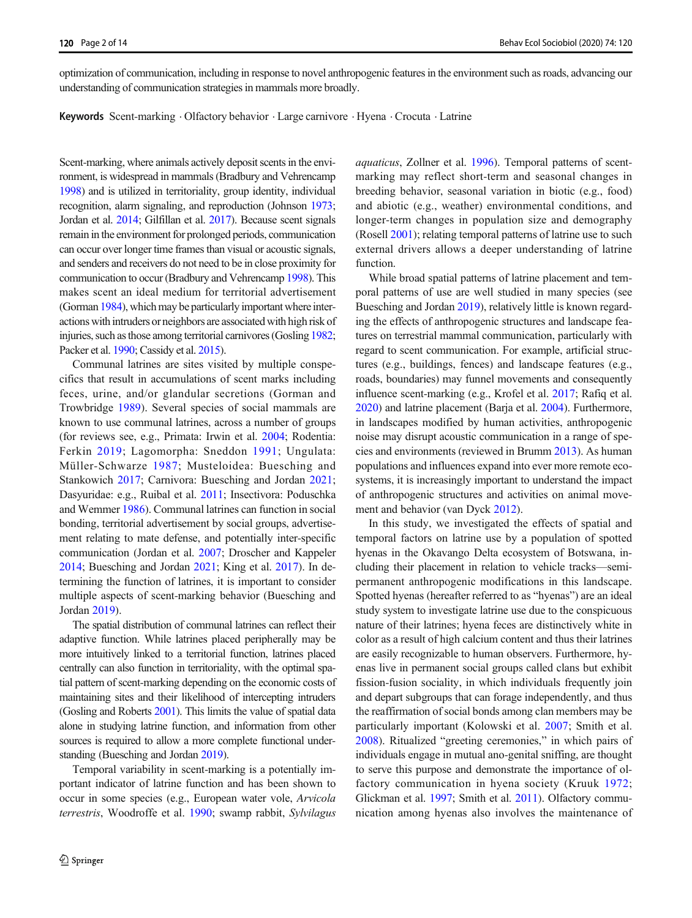optimization of communication, including in response to novel anthropogenic features in the environment such as roads, advancing our understanding of communication strategies in mammals more broadly.

Keywords Scent-marking . Olfactory behavior . Large carnivore . Hyena . Crocuta . Latrine

Scent-marking, where animals actively deposit scents in the environment, is widespread in mammals (Bradbury and Vehrencamp [1998](#page-11-0)) and is utilized in territoriality, group identity, individual recognition, alarm signaling, and reproduction (Johnson [1973](#page-12-0); Jordan et al. [2014](#page-12-0); Gilfillan et al. [2017\)](#page-12-0). Because scent signals remain in the environment for prolonged periods, communication can occur over longer time frames than visual or acoustic signals, and senders and receivers do not need to be in close proximity for communication to occur (Bradbury and Vehrencamp [1998](#page-11-0)). This makes scent an ideal medium for territorial advertisement (Gorman [1984\)](#page-12-0), which may be particularly important where interactions with intruders or neighbors are associated with high risk of injuries, such as those among territorial carnivores (Gosling [1982](#page-12-0); Packer et al. [1990;](#page-12-0) Cassidy et al. [2015\)](#page-12-0).

Communal latrines are sites visited by multiple conspecifics that result in accumulations of scent marks including feces, urine, and/or glandular secretions (Gorman and Trowbridge [1989](#page-12-0)). Several species of social mammals are known to use communal latrines, across a number of groups (for reviews see, e.g., Primata: Irwin et al. [2004](#page-12-0); Rodentia: Ferkin [2019](#page-12-0); Lagomorpha: Sneddon [1991](#page-13-0); Ungulata: Müller-Schwarze [1987](#page-12-0); Musteloidea: Buesching and Stankowich [2017](#page-11-0); Carnivora: Buesching and Jordan [2021](#page-11-0); Dasyuridae: e.g., Ruibal et al. [2011](#page-13-0); Insectivora: Poduschka and Wemmer [1986\)](#page-12-0). Communal latrines can function in social bonding, territorial advertisement by social groups, advertisement relating to mate defense, and potentially inter-specific communication (Jordan et al. [2007;](#page-12-0) Droscher and Kappeler [2014;](#page-12-0) Buesching and Jordan [2021](#page-11-0); King et al. [2017\)](#page-12-0). In determining the function of latrines, it is important to consider multiple aspects of scent-marking behavior (Buesching and Jordan [2019](#page-11-0)).

The spatial distribution of communal latrines can reflect their adaptive function. While latrines placed peripherally may be more intuitively linked to a territorial function, latrines placed centrally can also function in territoriality, with the optimal spatial pattern of scent-marking depending on the economic costs of maintaining sites and their likelihood of intercepting intruders (Gosling and Roberts [2001\)](#page-12-0). This limits the value of spatial data alone in studying latrine function, and information from other sources is required to allow a more complete functional understanding (Buesching and Jordan [2019\)](#page-11-0).

Temporal variability in scent-marking is a potentially important indicator of latrine function and has been shown to occur in some species (e.g., European water vole, Arvicola terrestris, Woodroffe et al. [1990](#page-13-0); swamp rabbit, Sylvilagus aquaticus, Zollner et al. [1996\)](#page-13-0). Temporal patterns of scentmarking may reflect short-term and seasonal changes in breeding behavior, seasonal variation in biotic (e.g., food) and abiotic (e.g., weather) environmental conditions, and longer-term changes in population size and demography (Rosell [2001\)](#page-13-0); relating temporal patterns of latrine use to such external drivers allows a deeper understanding of latrine function.

While broad spatial patterns of latrine placement and temporal patterns of use are well studied in many species (see Buesching and Jordan [2019](#page-11-0)), relatively little is known regarding the effects of anthropogenic structures and landscape features on terrestrial mammal communication, particularly with regard to scent communication. For example, artificial structures (e.g., buildings, fences) and landscape features (e.g., roads, boundaries) may funnel movements and consequently influence scent-marking (e.g., Krofel et al. [2017](#page-12-0); Rafiq et al. [2020\)](#page-12-0) and latrine placement (Barja et al. [2004](#page-11-0)). Furthermore, in landscapes modified by human activities, anthropogenic noise may disrupt acoustic communication in a range of species and environments (reviewed in Brumm [2013\)](#page-11-0). As human populations and influences expand into ever more remote ecosystems, it is increasingly important to understand the impact of anthropogenic structures and activities on animal movement and behavior (van Dyck [2012\)](#page-13-0).

In this study, we investigated the effects of spatial and temporal factors on latrine use by a population of spotted hyenas in the Okavango Delta ecosystem of Botswana, including their placement in relation to vehicle tracks—semipermanent anthropogenic modifications in this landscape. Spotted hyenas (hereafter referred to as "hyenas") are an ideal study system to investigate latrine use due to the conspicuous nature of their latrines; hyena feces are distinctively white in color as a result of high calcium content and thus their latrines are easily recognizable to human observers. Furthermore, hyenas live in permanent social groups called clans but exhibit fission-fusion sociality, in which individuals frequently join and depart subgroups that can forage independently, and thus the reaffirmation of social bonds among clan members may be particularly important (Kolowski et al. [2007](#page-12-0); Smith et al. [2008\)](#page-13-0). Ritualized "greeting ceremonies," in which pairs of individuals engage in mutual ano-genital sniffing, are thought to serve this purpose and demonstrate the importance of olfactory communication in hyena society (Kruuk [1972;](#page-12-0) Glickman et al. [1997](#page-12-0); Smith et al. [2011](#page-13-0)). Olfactory communication among hyenas also involves the maintenance of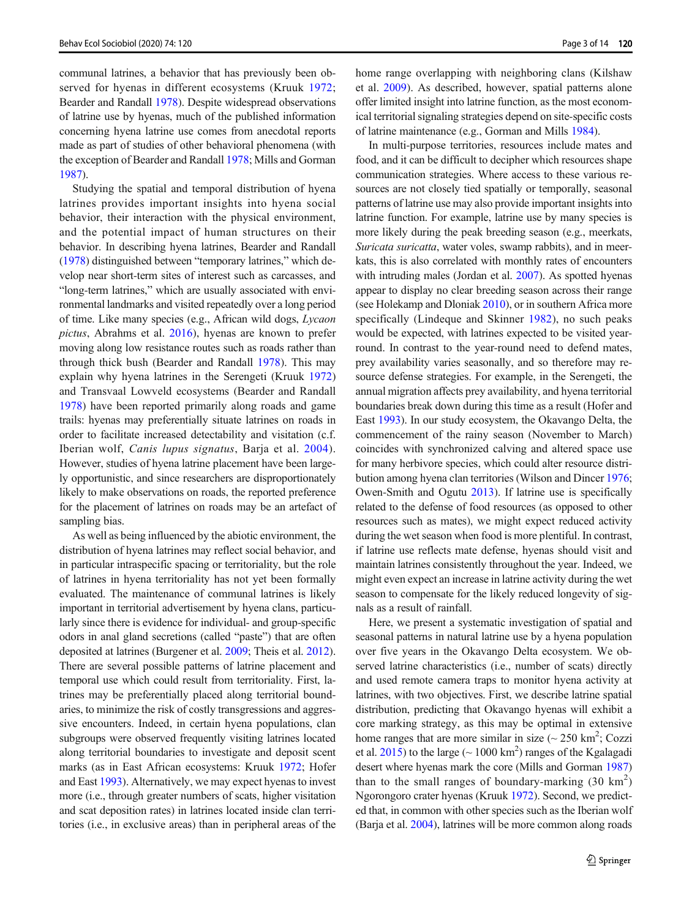communal latrines, a behavior that has previously been observed for hyenas in different ecosystems (Kruuk [1972](#page-12-0); Bearder and Randall [1978](#page-11-0)). Despite widespread observations of latrine use by hyenas, much of the published information concerning hyena latrine use comes from anecdotal reports made as part of studies of other behavioral phenomena (with the exception of Bearder and Randall [1978](#page-11-0); Mills and Gorman [1987\)](#page-12-0).

Studying the spatial and temporal distribution of hyena latrines provides important insights into hyena social behavior, their interaction with the physical environment, and the potential impact of human structures on their behavior. In describing hyena latrines, Bearder and Randall [\(1978\)](#page-11-0) distinguished between "temporary latrines," which develop near short-term sites of interest such as carcasses, and "long-term latrines," which are usually associated with environmental landmarks and visited repeatedly over a long period of time. Like many species (e.g., African wild dogs, Lycaon pictus, Abrahms et al. [2016\)](#page-11-0), hyenas are known to prefer moving along low resistance routes such as roads rather than through thick bush (Bearder and Randall [1978\)](#page-11-0). This may explain why hyena latrines in the Serengeti (Kruuk [1972\)](#page-12-0) and Transvaal Lowveld ecosystems (Bearder and Randall [1978\)](#page-11-0) have been reported primarily along roads and game trails: hyenas may preferentially situate latrines on roads in order to facilitate increased detectability and visitation (c.f. Iberian wolf, Canis lupus signatus, Barja et al. [2004](#page-11-0)). However, studies of hyena latrine placement have been largely opportunistic, and since researchers are disproportionately likely to make observations on roads, the reported preference for the placement of latrines on roads may be an artefact of sampling bias.

As well as being influenced by the abiotic environment, the distribution of hyena latrines may reflect social behavior, and in particular intraspecific spacing or territoriality, but the role of latrines in hyena territoriality has not yet been formally evaluated. The maintenance of communal latrines is likely important in territorial advertisement by hyena clans, particularly since there is evidence for individual- and group-specific odors in anal gland secretions (called "paste") that are often deposited at latrines (Burgener et al. [2009](#page-12-0); Theis et al. [2012\)](#page-13-0). There are several possible patterns of latrine placement and temporal use which could result from territoriality. First, latrines may be preferentially placed along territorial boundaries, to minimize the risk of costly transgressions and aggressive encounters. Indeed, in certain hyena populations, clan subgroups were observed frequently visiting latrines located along territorial boundaries to investigate and deposit scent marks (as in East African ecosystems: Kruuk [1972;](#page-12-0) Hofer and East [1993](#page-12-0)). Alternatively, we may expect hyenas to invest more (i.e., through greater numbers of scats, higher visitation and scat deposition rates) in latrines located inside clan territories (i.e., in exclusive areas) than in peripheral areas of the home range overlapping with neighboring clans (Kilshaw et al. [2009](#page-12-0)). As described, however, spatial patterns alone offer limited insight into latrine function, as the most economical territorial signaling strategies depend on site-specific costs of latrine maintenance (e.g., Gorman and Mills [1984](#page-12-0)).

In multi-purpose territories, resources include mates and food, and it can be difficult to decipher which resources shape communication strategies. Where access to these various resources are not closely tied spatially or temporally, seasonal patterns of latrine use may also provide important insights into latrine function. For example, latrine use by many species is more likely during the peak breeding season (e.g., meerkats, Suricata suricatta, water voles, swamp rabbits), and in meerkats, this is also correlated with monthly rates of encounters with intruding males (Jordan et al. [2007\)](#page-12-0). As spotted hyenas appear to display no clear breeding season across their range (see Holekamp and Dloniak [2010](#page-12-0)), or in southern Africa more specifically (Lindeque and Skinner [1982](#page-12-0)), no such peaks would be expected, with latrines expected to be visited yearround. In contrast to the year-round need to defend mates, prey availability varies seasonally, and so therefore may resource defense strategies. For example, in the Serengeti, the annual migration affects prey availability, and hyena territorial boundaries break down during this time as a result (Hofer and East [1993](#page-12-0)). In our study ecosystem, the Okavango Delta, the commencement of the rainy season (November to March) coincides with synchronized calving and altered space use for many herbivore species, which could alter resource distribution among hyena clan territories (Wilson and Dincer [1976;](#page-13-0) Owen-Smith and Ogutu [2013](#page-12-0)). If latrine use is specifically related to the defense of food resources (as opposed to other resources such as mates), we might expect reduced activity during the wet season when food is more plentiful. In contrast, if latrine use reflects mate defense, hyenas should visit and maintain latrines consistently throughout the year. Indeed, we might even expect an increase in latrine activity during the wet season to compensate for the likely reduced longevity of signals as a result of rainfall.

Here, we present a systematic investigation of spatial and seasonal patterns in natural latrine use by a hyena population over five years in the Okavango Delta ecosystem. We observed latrine characteristics (i.e., number of scats) directly and used remote camera traps to monitor hyena activity at latrines, with two objectives. First, we describe latrine spatial distribution, predicting that Okavango hyenas will exhibit a core marking strategy, as this may be optimal in extensive home ranges that are more similar in size  $\left(\sim 250 \text{ km}^2, \text{Cozzi}\right)$ et al.  $2015$ ) to the large ( $\sim 1000 \text{ km}^2$ ) ranges of the Kgalagadi desert where hyenas mark the core (Mills and Gorman [1987](#page-12-0)) than to the small ranges of boundary-marking  $(30 \text{ km}^2)$ Ngorongoro crater hyenas (Kruuk [1972](#page-12-0)). Second, we predicted that, in common with other species such as the Iberian wolf (Barja et al. [2004](#page-11-0)), latrines will be more common along roads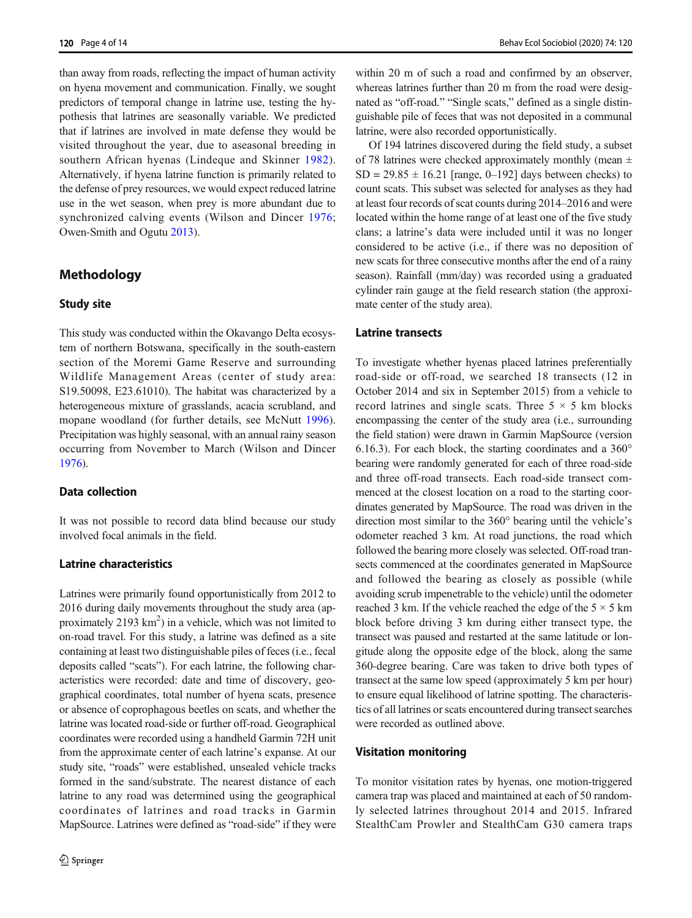than away from roads, reflecting the impact of human activity on hyena movement and communication. Finally, we sought predictors of temporal change in latrine use, testing the hypothesis that latrines are seasonally variable. We predicted that if latrines are involved in mate defense they would be visited throughout the year, due to aseasonal breeding in southern African hyenas (Lindeque and Skinner [1982](#page-12-0)). Alternatively, if hyena latrine function is primarily related to the defense of prey resources, we would expect reduced latrine use in the wet season, when prey is more abundant due to synchronized calving events (Wilson and Dincer [1976](#page-13-0); Owen-Smith and Ogutu [2013\)](#page-12-0).

## Methodology

#### Study site

This study was conducted within the Okavango Delta ecosystem of northern Botswana, specifically in the south-eastern section of the Moremi Game Reserve and surrounding Wildlife Management Areas (center of study area: S19.50098, E23.61010). The habitat was characterized by a heterogeneous mixture of grasslands, acacia scrubland, and mopane woodland (for further details, see McNutt [1996](#page-12-0)). Precipitation was highly seasonal, with an annual rainy season occurring from November to March (Wilson and Dincer [1976\)](#page-13-0).

#### Data collection

It was not possible to record data blind because our study involved focal animals in the field.

### Latrine characteristics

Latrines were primarily found opportunistically from 2012 to 2016 during daily movements throughout the study area (approximately  $2193 \text{ km}^2$ ) in a vehicle, which was not limited to on-road travel. For this study, a latrine was defined as a site containing at least two distinguishable piles of feces (i.e., fecal deposits called "scats"). For each latrine, the following characteristics were recorded: date and time of discovery, geographical coordinates, total number of hyena scats, presence or absence of coprophagous beetles on scats, and whether the latrine was located road-side or further off-road. Geographical coordinates were recorded using a handheld Garmin 72H unit from the approximate center of each latrine's expanse. At our study site, "roads" were established, unsealed vehicle tracks formed in the sand/substrate. The nearest distance of each latrine to any road was determined using the geographical coordinates of latrines and road tracks in Garmin MapSource. Latrines were defined as "road-side" if they were

within 20 m of such a road and confirmed by an observer, whereas latrines further than 20 m from the road were designated as "off-road." "Single scats," defined as a single distinguishable pile of feces that was not deposited in a communal latrine, were also recorded opportunistically.

Of 194 latrines discovered during the field study, a subset of 78 latrines were checked approximately monthly (mean  $\pm$  $SD = 29.85 \pm 16.21$  [range, 0–192] days between checks) to count scats. This subset was selected for analyses as they had at least four records of scat counts during 2014–2016 and were located within the home range of at least one of the five study clans; a latrine's data were included until it was no longer considered to be active (i.e., if there was no deposition of new scats for three consecutive months after the end of a rainy season). Rainfall (mm/day) was recorded using a graduated cylinder rain gauge at the field research station (the approximate center of the study area).

#### Latrine transects

To investigate whether hyenas placed latrines preferentially road-side or off-road, we searched 18 transects (12 in October 2014 and six in September 2015) from a vehicle to record latrines and single scats. Three  $5 \times 5$  km blocks encompassing the center of the study area (i.e., surrounding the field station) were drawn in Garmin MapSource (version 6.16.3). For each block, the starting coordinates and a 360° bearing were randomly generated for each of three road-side and three off-road transects. Each road-side transect commenced at the closest location on a road to the starting coordinates generated by MapSource. The road was driven in the direction most similar to the 360° bearing until the vehicle's odometer reached 3 km. At road junctions, the road which followed the bearing more closely was selected. Off-road transects commenced at the coordinates generated in MapSource and followed the bearing as closely as possible (while avoiding scrub impenetrable to the vehicle) until the odometer reached 3 km. If the vehicle reached the edge of the  $5 \times 5$  km block before driving 3 km during either transect type, the transect was paused and restarted at the same latitude or longitude along the opposite edge of the block, along the same 360-degree bearing. Care was taken to drive both types of transect at the same low speed (approximately 5 km per hour) to ensure equal likelihood of latrine spotting. The characteristics of all latrines or scats encountered during transect searches were recorded as outlined above.

#### Visitation monitoring

To monitor visitation rates by hyenas, one motion-triggered camera trap was placed and maintained at each of 50 randomly selected latrines throughout 2014 and 2015. Infrared StealthCam Prowler and StealthCam G30 camera traps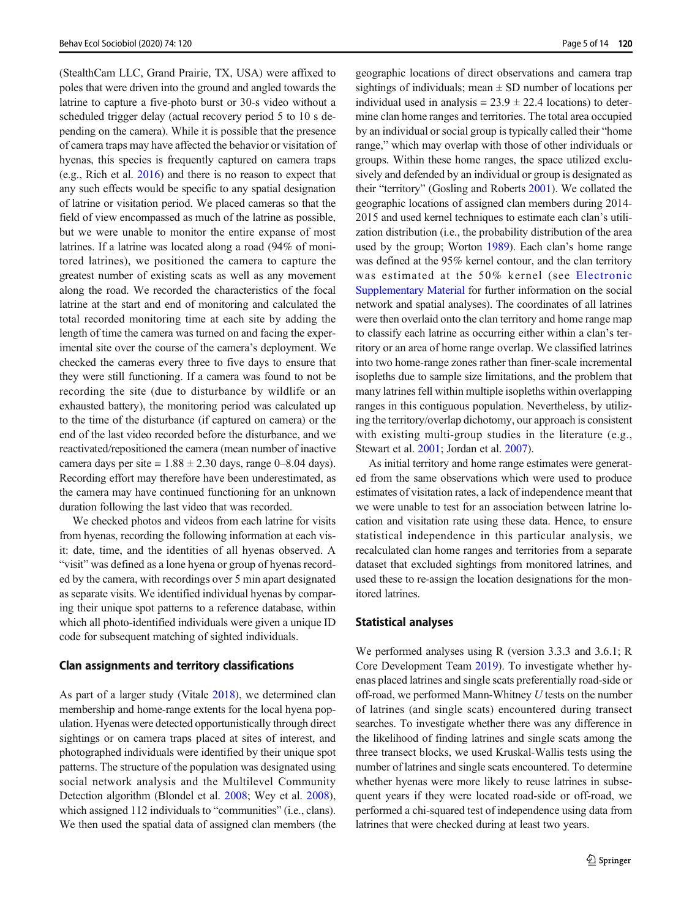(StealthCam LLC, Grand Prairie, TX, USA) were affixed to poles that were driven into the ground and angled towards the latrine to capture a five-photo burst or 30-s video without a scheduled trigger delay (actual recovery period 5 to 10 s depending on the camera). While it is possible that the presence of camera traps may have affected the behavior or visitation of hyenas, this species is frequently captured on camera traps (e.g., Rich et al. [2016\)](#page-13-0) and there is no reason to expect that any such effects would be specific to any spatial designation of latrine or visitation period. We placed cameras so that the field of view encompassed as much of the latrine as possible, but we were unable to monitor the entire expanse of most latrines. If a latrine was located along a road (94% of monitored latrines), we positioned the camera to capture the greatest number of existing scats as well as any movement along the road. We recorded the characteristics of the focal latrine at the start and end of monitoring and calculated the total recorded monitoring time at each site by adding the length of time the camera was turned on and facing the experimental site over the course of the camera's deployment. We checked the cameras every three to five days to ensure that they were still functioning. If a camera was found to not be recording the site (due to disturbance by wildlife or an exhausted battery), the monitoring period was calculated up to the time of the disturbance (if captured on camera) or the end of the last video recorded before the disturbance, and we reactivated/repositioned the camera (mean number of inactive camera days per site  $= 1.88 \pm 2.30$  days, range 0–8.04 days). Recording effort may therefore have been underestimated, as the camera may have continued functioning for an unknown duration following the last video that was recorded.

We checked photos and videos from each latrine for visits from hyenas, recording the following information at each visit: date, time, and the identities of all hyenas observed. A "visit" was defined as a lone hyena or group of hyenas recorded by the camera, with recordings over 5 min apart designated as separate visits. We identified individual hyenas by comparing their unique spot patterns to a reference database, within which all photo-identified individuals were given a unique ID code for subsequent matching of sighted individuals.

#### Clan assignments and territory classifications

As part of a larger study (Vitale [2018](#page-13-0)), we determined clan membership and home-range extents for the local hyena population. Hyenas were detected opportunistically through direct sightings or on camera traps placed at sites of interest, and photographed individuals were identified by their unique spot patterns. The structure of the population was designated using social network analysis and the Multilevel Community Detection algorithm (Blondel et al. [2008;](#page-11-0) Wey et al. [2008\)](#page-13-0), which assigned 112 individuals to "communities" (i.e., clans). We then used the spatial data of assigned clan members (the geographic locations of direct observations and camera trap sightings of individuals; mean  $\pm$  SD number of locations per individual used in analysis  $= 23.9 \pm 22.4$  locations) to determine clan home ranges and territories. The total area occupied by an individual or social group is typically called their "home range," which may overlap with those of other individuals or groups. Within these home ranges, the space utilized exclusively and defended by an individual or group is designated as their "territory" (Gosling and Roberts [2001\)](#page-12-0). We collated the geographic locations of assigned clan members during 2014- 2015 and used kernel techniques to estimate each clan's utilization distribution (i.e., the probability distribution of the area used by the group; Worton [1989](#page-13-0)). Each clan's home range was defined at the 95% kernel contour, and the clan territory was estimated at the 50% kernel (see Electronic Supplementary Material for further information on the social network and spatial analyses). The coordinates of all latrines were then overlaid onto the clan territory and home range map to classify each latrine as occurring either within a clan's territory or an area of home range overlap. We classified latrines into two home-range zones rather than finer-scale incremental isopleths due to sample size limitations, and the problem that many latrines fell within multiple isopleths within overlapping ranges in this contiguous population. Nevertheless, by utilizing the territory/overlap dichotomy, our approach is consistent with existing multi-group studies in the literature (e.g., Stewart et al. [2001](#page-13-0); Jordan et al. [2007](#page-12-0)).

As initial territory and home range estimates were generated from the same observations which were used to produce estimates of visitation rates, a lack of independence meant that we were unable to test for an association between latrine location and visitation rate using these data. Hence, to ensure statistical independence in this particular analysis, we recalculated clan home ranges and territories from a separate dataset that excluded sightings from monitored latrines, and used these to re-assign the location designations for the monitored latrines.

#### Statistical analyses

We performed analyses using R (version 3.3.3 and 3.6.1; R Core Development Team [2019\)](#page-12-0). To investigate whether hyenas placed latrines and single scats preferentially road-side or off-road, we performed Mann-Whitney U tests on the number of latrines (and single scats) encountered during transect searches. To investigate whether there was any difference in the likelihood of finding latrines and single scats among the three transect blocks, we used Kruskal-Wallis tests using the number of latrines and single scats encountered. To determine whether hyenas were more likely to reuse latrines in subsequent years if they were located road-side or off-road, we performed a chi-squared test of independence using data from latrines that were checked during at least two years.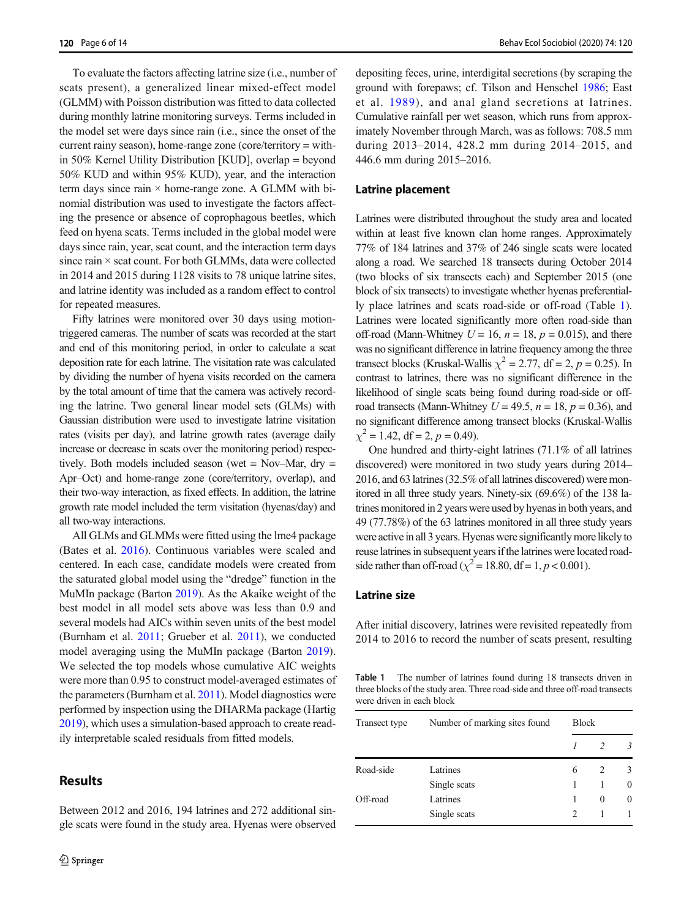To evaluate the factors affecting latrine size (i.e., number of scats present), a generalized linear mixed-effect model (GLMM) with Poisson distribution was fitted to data collected during monthly latrine monitoring surveys. Terms included in the model set were days since rain (i.e., since the onset of the current rainy season), home-range zone (core/territory = within 50% Kernel Utility Distribution [KUD], overlap = beyond 50% KUD and within 95% KUD), year, and the interaction term days since rain  $\times$  home-range zone. A GLMM with binomial distribution was used to investigate the factors affecting the presence or absence of coprophagous beetles, which feed on hyena scats. Terms included in the global model were days since rain, year, scat count, and the interaction term days since rain  $\times$  scat count. For both GLMMs, data were collected in 2014 and 2015 during 1128 visits to 78 unique latrine sites, and latrine identity was included as a random effect to control for repeated measures.

Fifty latrines were monitored over 30 days using motiontriggered cameras. The number of scats was recorded at the start and end of this monitoring period, in order to calculate a scat deposition rate for each latrine. The visitation rate was calculated by dividing the number of hyena visits recorded on the camera by the total amount of time that the camera was actively recording the latrine. Two general linear model sets (GLMs) with Gaussian distribution were used to investigate latrine visitation rates (visits per day), and latrine growth rates (average daily increase or decrease in scats over the monitoring period) respectively. Both models included season (wet = Nov–Mar, dry = Apr–Oct) and home-range zone (core/territory, overlap), and their two-way interaction, as fixed effects. In addition, the latrine growth rate model included the term visitation (hyenas/day) and all two-way interactions.

All GLMs and GLMMs were fitted using the lme4 package (Bates et al. [2016](#page-11-0)). Continuous variables were scaled and centered. In each case, candidate models were created from the saturated global model using the "dredge" function in the MuMIn package (Barton [2019](#page-11-0)). As the Akaike weight of the best model in all model sets above was less than 0.9 and several models had AICs within seven units of the best model (Burnham et al. [2011](#page-12-0); Grueber et al. [2011](#page-12-0)), we conducted model averaging using the MuMIn package (Barton [2019\)](#page-11-0). We selected the top models whose cumulative AIC weights were more than 0.95 to construct model-averaged estimates of the parameters (Burnham et al. [2011\)](#page-12-0). Model diagnostics were performed by inspection using the DHARMa package (Hartig [2019\)](#page-12-0), which uses a simulation-based approach to create readily interpretable scaled residuals from fitted models.

Between 2012 and 2016, 194 latrines and 272 additional single scats were found in the study area. Hyenas were observed

## **Results**

2 Springer

depositing feces, urine, interdigital secretions (by scraping the ground with forepaws; cf. Tilson and Henschel [1986](#page-13-0); East et al. [1989\)](#page-12-0), and anal gland secretions at latrines. Cumulative rainfall per wet season, which runs from approximately November through March, was as follows: 708.5 mm during 2013–2014, 428.2 mm during 2014–2015, and 446.6 mm during 2015–2016.

#### Latrine placement

Latrines were distributed throughout the study area and located within at least five known clan home ranges. Approximately 77% of 184 latrines and 37% of 246 single scats were located along a road. We searched 18 transects during October 2014 (two blocks of six transects each) and September 2015 (one block of six transects) to investigate whether hyenas preferentially place latrines and scats road-side or off-road (Table 1). Latrines were located significantly more often road-side than off-road (Mann-Whitney  $U = 16$ ,  $n = 18$ ,  $p = 0.015$ ), and there was no significant difference in latrine frequency among the three transect blocks (Kruskal-Wallis  $\chi^2 = 2.77$ , df = 2, p = 0.25). In contrast to latrines, there was no significant difference in the likelihood of single scats being found during road-side or offroad transects (Mann-Whitney  $U = 49.5$ ,  $n = 18$ ,  $p = 0.36$ ), and no significant difference among transect blocks (Kruskal-Wallis  $\chi^2 = 1.42$ , df = 2, p = 0.49).

One hundred and thirty-eight latrines (71.1% of all latrines discovered) were monitored in two study years during 2014– 2016, and 63 latrines (32.5% of all latrines discovered) were monitored in all three study years. Ninety-six (69.6%) of the 138 latrines monitored in 2 years were used by hyenas in both years, and 49 (77.78%) of the 63 latrines monitored in all three study years were active in all 3 years. Hyenas were significantly morelikely to reuse latrines in subsequent years if the latrines were located roadside rather than off-road ( $\chi^2$  = 18.80, df = 1, p < 0.001).

## Latrine size

After initial discovery, latrines were revisited repeatedly from 2014 to 2016 to record the number of scats present, resulting

Table 1 The number of latrines found during 18 transects driven in three blocks of the study area. Three road-side and three off-road transects were driven in each block

| Transect type | Number of marking sites found | <b>Block</b>   |          |               |  |
|---------------|-------------------------------|----------------|----------|---------------|--|
|               |                               |                |          | $\mathcal{R}$ |  |
| Road-side     | Latrines                      | 6              |          | 3             |  |
|               | Single scats                  | 1              |          | $\Omega$      |  |
| Off-road      | Latrines                      | 1              | $\Omega$ | $\Omega$      |  |
|               | Single scats                  | $\mathfrak{D}$ |          |               |  |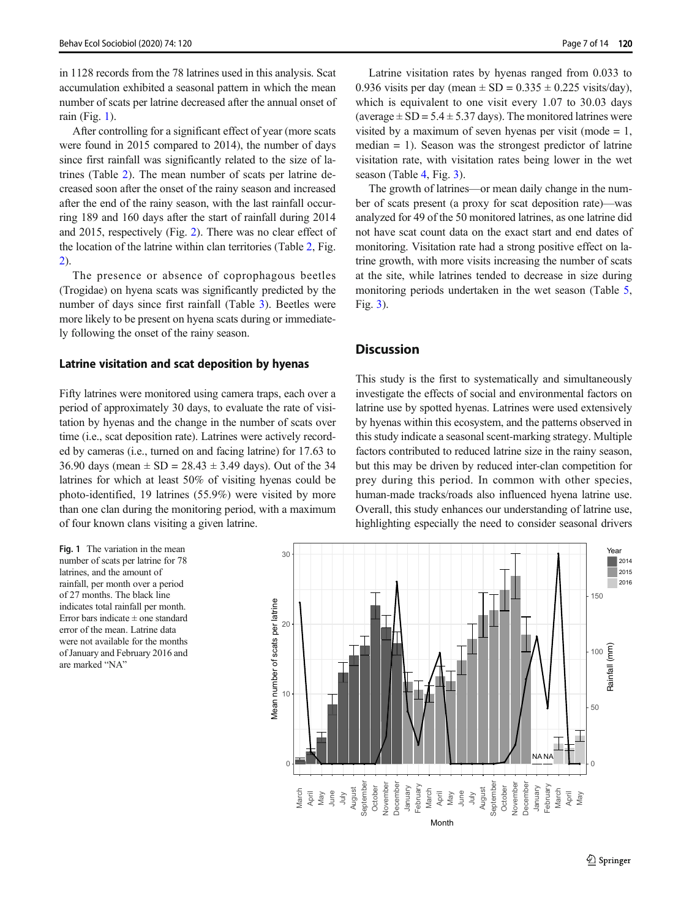in 1128 records from the 78 latrines used in this analysis. Scat accumulation exhibited a seasonal pattern in which the mean number of scats per latrine decreased after the annual onset of rain (Fig. 1).

After controlling for a significant effect of year (more scats were found in 2015 compared to 2014), the number of days since first rainfall was significantly related to the size of latrines (Table [2](#page-7-0)). The mean number of scats per latrine decreased soon after the onset of the rainy season and increased after the end of the rainy season, with the last rainfall occurring 189 and 160 days after the start of rainfall during 2014 and 2015, respectively (Fig. [2](#page-7-0)). There was no clear effect of the location of the latrine within clan territories (Table [2,](#page-7-0) Fig. [2\)](#page-7-0).

The presence or absence of coprophagous beetles (Trogidae) on hyena scats was significantly predicted by the number of days since first rainfall (Table [3](#page-8-0)). Beetles were more likely to be present on hyena scats during or immediately following the onset of the rainy season.

#### Latrine visitation and scat deposition by hyenas

Fifty latrines were monitored using camera traps, each over a period of approximately 30 days, to evaluate the rate of visitation by hyenas and the change in the number of scats over time (i.e., scat deposition rate). Latrines were actively recorded by cameras (i.e., turned on and facing latrine) for 17.63 to 36.90 days (mean  $\pm$  SD = 28.43  $\pm$  3.49 days). Out of the 34 latrines for which at least 50% of visiting hyenas could be photo-identified, 19 latrines (55.9%) were visited by more than one clan during the monitoring period, with a maximum of four known clans visiting a given latrine.

Fig. 1 The variation in the mean number of scats per latrine for 78 latrines, and the amount of rainfall, per month over a period of 27 months. The black line indicates total rainfall per month. Error bars indicate  $\pm$  one standard error of the mean. Latrine data were not available for the months of January and February 2016 and are marked "NA"

Latrine visitation rates by hyenas ranged from 0.033 to 0.936 visits per day (mean  $\pm$  SD = 0.335  $\pm$  0.225 visits/day), which is equivalent to one visit every 1.07 to 30.03 days (average  $\pm$  SD = 5.4  $\pm$  5.37 days). The monitored latrines were visited by a maximum of seven hyenas per visit (mode  $= 1$ , median = 1). Season was the strongest predictor of latrine visitation rate, with visitation rates being lower in the wet season (Table [4](#page-8-0), Fig. [3](#page-9-0)).

The growth of latrines—or mean daily change in the number of scats present (a proxy for scat deposition rate)—was analyzed for 49 of the 50 monitored latrines, as one latrine did not have scat count data on the exact start and end dates of monitoring. Visitation rate had a strong positive effect on latrine growth, with more visits increasing the number of scats at the site, while latrines tended to decrease in size during monitoring periods undertaken in the wet season (Table [5,](#page-10-0) Fig. [3](#page-9-0)).

## **Discussion**

This study is the first to systematically and simultaneously investigate the effects of social and environmental factors on latrine use by spotted hyenas. Latrines were used extensively by hyenas within this ecosystem, and the patterns observed in this study indicate a seasonal scent-marking strategy. Multiple factors contributed to reduced latrine size in the rainy season, but this may be driven by reduced inter-clan competition for prey during this period. In common with other species, human-made tracks/roads also influenced hyena latrine use. Overall, this study enhances our understanding of latrine use, highlighting especially the need to consider seasonal drivers

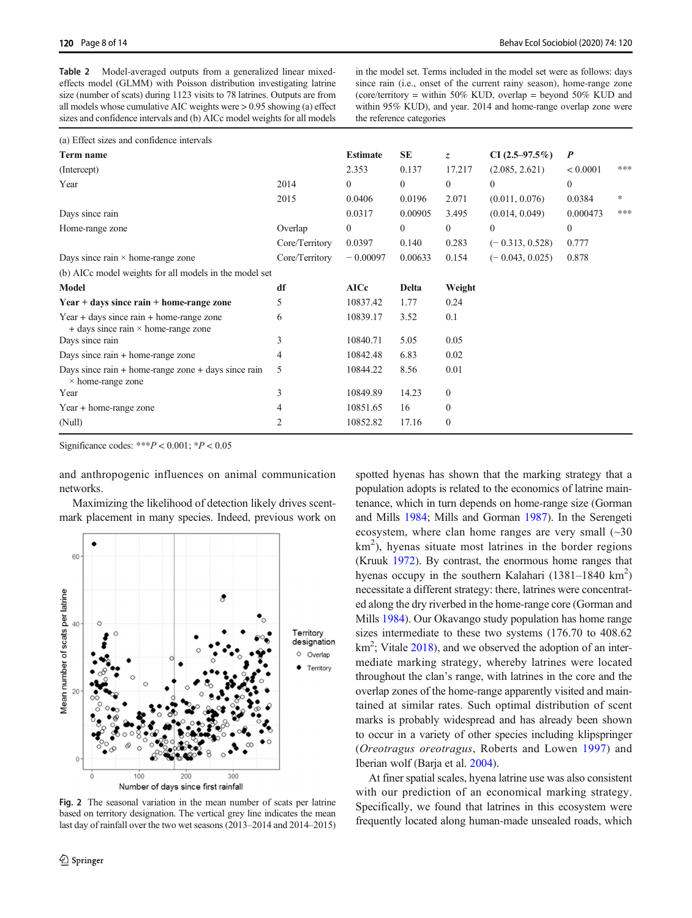<span id="page-7-0"></span>Table 2 Model-averaged outputs from a generalized linear mixedeffects model (GLMM) with Poisson distribution investigating latrine size (number of scats) during 1123 visits to 78 latrines. Outputs are from all models whose cumulative AIC weights were > 0.95 showing (a) effect sizes and confidence intervals and (b) AICc model weights for all models

in the model set. Terms included in the model set were as follows: days since rain (i.e., onset of the current rainy season), home-range zone (core/territory = within 50% KUD, overlap = beyond 50% KUD and within 95% KUD), and year. 2014 and home-range overlap zone were the reference categories

| (a) Effect sizes and confidence intervals                                                     |                |                 |          |          |                   |                  |     |
|-----------------------------------------------------------------------------------------------|----------------|-----------------|----------|----------|-------------------|------------------|-----|
| Term name                                                                                     |                | <b>Estimate</b> | SE       | Z.       | $CI(2.5-97.5\%)$  | $\boldsymbol{P}$ |     |
| (Intercept)                                                                                   |                | 2.353           | 0.137    | 17.217   | (2.085, 2.621)    | < 0.0001         | *** |
| Year                                                                                          | 2014           | $\mathbf{0}$    | $\Omega$ | $\theta$ | $\mathbf{0}$      | $\mathbf{0}$     |     |
|                                                                                               | 2015           | 0.0406          | 0.0196   | 2.071    | (0.011, 0.076)    | 0.0384           | *   |
| Days since rain                                                                               |                | 0.0317          | 0.00905  | 3.495    | (0.014, 0.049)    | 0.000473         | *** |
| Home-range zone                                                                               | Overlap        | $\mathbf{0}$    | $\Omega$ | $\theta$ | $\theta$          | $\mathbf{0}$     |     |
|                                                                                               | Core/Territory | 0.0397          | 0.140    | 0.283    | $(-0.313, 0.528)$ | 0.777            |     |
| Days since rain $\times$ home-range zone                                                      | Core/Territory | $-0.00097$      | 0.00633  | 0.154    | $(-0.043, 0.025)$ | 0.878            |     |
| (b) AICc model weights for all models in the model set                                        |                |                 |          |          |                   |                  |     |
| Model                                                                                         | df             | <b>AICc</b>     | Delta    | Weight   |                   |                  |     |
| $Year + days$ since rain $+ home$ -range zone                                                 | 5              | 10837.42        | 1.77     | 0.24     |                   |                  |     |
| $Year + days$ since rain $+ home$ -range zone<br>$+$ days since rain $\times$ home-range zone | 6              | 10839.17        | 3.52     | 0.1      |                   |                  |     |
| Days since rain                                                                               | 3              | 10840.71        | 5.05     | 0.05     |                   |                  |     |
| Days since rain + home-range zone                                                             | 4              | 10842.48        | 6.83     | 0.02     |                   |                  |     |
| Days since $rain + home-range zone + days$ since $rain$<br>$\times$ home-range zone           | 5              | 10844.22        | 8.56     | 0.01     |                   |                  |     |
| Year                                                                                          | 3              | 10849.89        | 14.23    | $\Omega$ |                   |                  |     |
| Year + home-range zone                                                                        | 4              | 10851.65        | 16       | $\Omega$ |                   |                  |     |
| (Null)                                                                                        | 2              | 10852.82        | 17.16    | $\Omega$ |                   |                  |     |

Significance codes: \*\*\* $P < 0.001$ ; \* $P < 0.05$ 

and anthropogenic influences on animal communication networks.

Maximizing the likelihood of detection likely drives scentmark placement in many species. Indeed, previous work on



Fig. 2 The seasonal variation in the mean number of scats per latrine based on territory designation. The vertical grey line indicates the mean last day of rainfall over the two wet seasons (2013–2014 and 2014–2015)

spotted hyenas has shown that the marking strategy that a population adopts is related to the economics of latrine maintenance, which in turn depends on home-range size (Gorman and Mills [1984;](#page-12-0) Mills and Gorman [1987](#page-12-0)). In the Serengeti ecosystem, where clan home ranges are very small  $(\sim]30$  $km<sup>2</sup>$ ), hyenas situate most latrines in the border regions (Kruuk [1972](#page-12-0)). By contrast, the enormous home ranges that hyenas occupy in the southern Kalahari  $(1381-1840 \text{ km}^2)$ necessitate a different strategy: there, latrines were concentrated along the dry riverbed in the home-range core (Gorman and Mills [1984](#page-12-0)). Our Okavango study population has home range sizes intermediate to these two systems (176.70 to 408.62 km<sup>2</sup>; Vitale [2018](#page-13-0)), and we observed the adoption of an intermediate marking strategy, whereby latrines were located throughout the clan's range, with latrines in the core and the overlap zones of the home-range apparently visited and maintained at similar rates. Such optimal distribution of scent marks is probably widespread and has already been shown to occur in a variety of other species including klipspringer (Oreotragus oreotragus, Roberts and Lowen [1997](#page-13-0)) and Iberian wolf (Barja et al. [2004](#page-11-0)).

At finer spatial scales, hyena latrine use was also consistent with our prediction of an economical marking strategy. Specifically, we found that latrines in this ecosystem were frequently located along human-made unsealed roads, which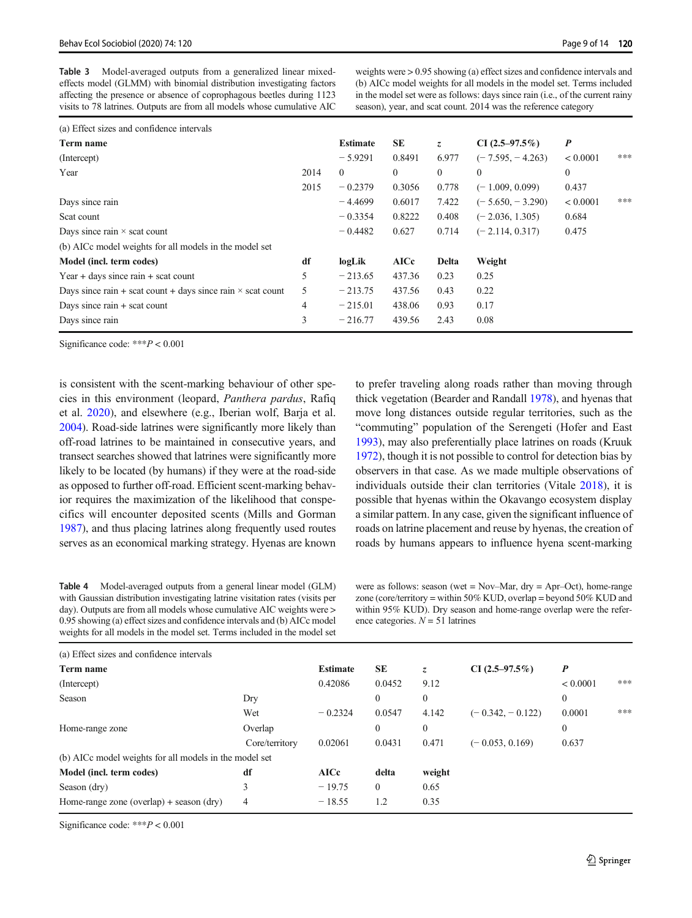<span id="page-8-0"></span>Table 3 Model-averaged outputs from a generalized linear mixedeffects model (GLMM) with binomial distribution investigating factors affecting the presence or absence of coprophagous beetles during 1123 visits to 78 latrines. Outputs are from all models whose cumulative AIC

weights were > 0.95 showing (a) effect sizes and confidence intervals and (b) AICc model weights for all models in the model set. Terms included in the model set were as follows: days since rain (i.e., of the current rainy season), year, and scat count. 2014 was the reference category

| (a) Effect sizes and confidence intervals                          |      |                 |                |              |                    |                  |     |
|--------------------------------------------------------------------|------|-----------------|----------------|--------------|--------------------|------------------|-----|
| Term name                                                          |      | <b>Estimate</b> | <b>SE</b>      | Z,           | CI $(2.5-97.5\%)$  | $\boldsymbol{P}$ |     |
| (Intercept)                                                        |      | $-5.9291$       | 0.8491         | 6.977        | $(-7.595, -4.263)$ | < 0.0001         | *** |
| Year                                                               | 2014 | $\theta$        | $\overline{0}$ | $\mathbf{0}$ | $\mathbf{0}$       | $\mathbf{0}$     |     |
|                                                                    | 2015 | $-0.2379$       | 0.3056         | 0.778        | $(-1.009, 0.099)$  | 0.437            |     |
| Days since rain                                                    |      | $-4.4699$       | 0.6017         | 7.422        | $(-5.650, -3.290)$ | < 0.0001         | *** |
| Scat count                                                         |      | $-0.3354$       | 0.8222         | 0.408        | $(-2.036, 1.305)$  | 0.684            |     |
| Days since rain $\times$ scat count                                |      | $-0.4482$       | 0.627          | 0.714        | $(-2.114, 0.317)$  | 0.475            |     |
| (b) AICc model weights for all models in the model set             |      |                 |                |              |                    |                  |     |
| Model (incl. term codes)                                           |      | logLik          | <b>AICc</b>    | <b>Delta</b> | Weight             |                  |     |
| Year + days since rain + scat count                                | 5    | $-213.65$       | 437.36         | 0.23         | 0.25               |                  |     |
| Days since rain + scat count + days since rain $\times$ scat count | 5    | $-213.75$       | 437.56         | 0.43         | 0.22               |                  |     |
| Days since $rain + scat count$                                     | 4    | $-215.01$       | 438.06         | 0.93         | 0.17               |                  |     |
| Days since rain                                                    | 3    | $-216.77$       | 439.56         | 2.43         | 0.08               |                  |     |
|                                                                    |      |                 |                |              |                    |                  |     |

Significance code: \*\*\*P < 0.001

is consistent with the scent-marking behaviour of other species in this environment (leopard, Panthera pardus, Rafiq et al. [2020\)](#page-12-0), and elsewhere (e.g., Iberian wolf, Barja et al. [2004\)](#page-11-0). Road-side latrines were significantly more likely than off-road latrines to be maintained in consecutive years, and transect searches showed that latrines were significantly more likely to be located (by humans) if they were at the road-side as opposed to further off-road. Efficient scent-marking behavior requires the maximization of the likelihood that conspecifics will encounter deposited scents (Mills and Gorman [1987\)](#page-12-0), and thus placing latrines along frequently used routes serves as an economical marking strategy. Hyenas are known to prefer traveling along roads rather than moving through thick vegetation (Bearder and Randall [1978\)](#page-11-0), and hyenas that move long distances outside regular territories, such as the "commuting" population of the Serengeti (Hofer and East [1993\)](#page-12-0), may also preferentially place latrines on roads (Kruuk [1972\)](#page-12-0), though it is not possible to control for detection bias by observers in that case. As we made multiple observations of individuals outside their clan territories (Vitale [2018](#page-13-0)), it is possible that hyenas within the Okavango ecosystem display a similar pattern. In any case, given the significant influence of roads on latrine placement and reuse by hyenas, the creation of roads by humans appears to influence hyena scent-marking

Table 4 Model-averaged outputs from a general linear model (GLM) with Gaussian distribution investigating latrine visitation rates (visits per day). Outputs are from all models whose cumulative AIC weights were  $>$ 0.95 showing (a) effect sizes and confidence intervals and (b) AICc model weights for all models in the model set. Terms included in the model set

were as follows: season (wet = Nov–Mar, dry = Apr–Oct), home-range zone (core/territory = within 50% KUD, overlap = beyond 50% KUD and within 95% KUD). Dry season and home-range overlap were the reference categories.  $N = 51$  latrines

| (a) Effect sizes and confidence intervals              |                |                 |          |              |                    |                  |     |
|--------------------------------------------------------|----------------|-----------------|----------|--------------|--------------------|------------------|-----|
| Term name                                              |                | <b>Estimate</b> | SE       | Z.           | CI $(2.5-97.5\%)$  | $\boldsymbol{P}$ |     |
| (Intercept)                                            |                | 0.42086         | 0.0452   | 9.12         |                    | < 0.0001         | *** |
| Season                                                 | Dry            |                 | $\Omega$ | $\mathbf{0}$ |                    | $\mathbf{0}$     |     |
|                                                        | Wet            | $-0.2324$       | 0.0547   | 4.142        | $(-0.342, -0.122)$ | 0.0001           | *** |
| Home-range zone                                        | Overlap        |                 | $\theta$ | $\mathbf{0}$ |                    | $\mathbf{0}$     |     |
|                                                        | Core/territory | 0.02061         | 0.0431   | 0.471        | $(-0.053, 0.169)$  | 0.637            |     |
| (b) AICc model weights for all models in the model set |                |                 |          |              |                    |                  |     |
| Model (incl. term codes)                               | df             | <b>AICc</b>     | delta    | weight       |                    |                  |     |
| Season (dry)                                           | 3              | $-19.75$        | $\Omega$ | 0.65         |                    |                  |     |
| Home-range zone (overlap) + season (dry)               | 4              | $-18.55$        | 1.2      | 0.35         |                    |                  |     |

Significance code:  $***P < 0.001$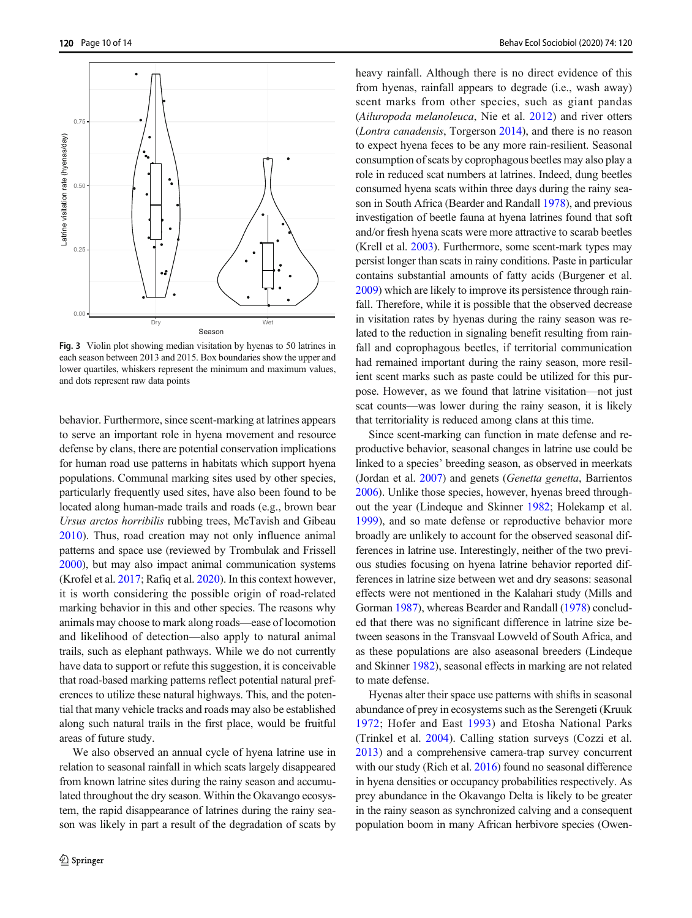<span id="page-9-0"></span>

Fig. 3 Violin plot showing median visitation by hyenas to 50 latrines in each season between 2013 and 2015. Box boundaries show the upper and lower quartiles, whiskers represent the minimum and maximum values, and dots represent raw data points

behavior. Furthermore, since scent-marking at latrines appears to serve an important role in hyena movement and resource defense by clans, there are potential conservation implications for human road use patterns in habitats which support hyena populations. Communal marking sites used by other species, particularly frequently used sites, have also been found to be located along human-made trails and roads (e.g., brown bear Ursus arctos horribilis rubbing trees, McTavish and Gibeau [2010\)](#page-12-0). Thus, road creation may not only influence animal patterns and space use (reviewed by Trombulak and Frissell [2000\)](#page-13-0), but may also impact animal communication systems (Krofel et al. [2017](#page-12-0); Rafiq et al. [2020](#page-12-0)). In this context however, it is worth considering the possible origin of road-related marking behavior in this and other species. The reasons why animals may choose to mark along roads—ease of locomotion and likelihood of detection—also apply to natural animal trails, such as elephant pathways. While we do not currently have data to support or refute this suggestion, it is conceivable that road-based marking patterns reflect potential natural preferences to utilize these natural highways. This, and the potential that many vehicle tracks and roads may also be established along such natural trails in the first place, would be fruitful areas of future study.

We also observed an annual cycle of hyena latrine use in relation to seasonal rainfall in which scats largely disappeared from known latrine sites during the rainy season and accumulated throughout the dry season. Within the Okavango ecosystem, the rapid disappearance of latrines during the rainy season was likely in part a result of the degradation of scats by heavy rainfall. Although there is no direct evidence of this from hyenas, rainfall appears to degrade (i.e., wash away) scent marks from other species, such as giant pandas (Ailuropoda melanoleuca, Nie et al. [2012\)](#page-12-0) and river otters (Lontra canadensis, Torgerson [2014](#page-13-0)), and there is no reason to expect hyena feces to be any more rain-resilient. Seasonal consumption of scats by coprophagous beetles may also play a role in reduced scat numbers at latrines. Indeed, dung beetles consumed hyena scats within three days during the rainy season in South Africa (Bearder and Randall [1978\)](#page-11-0), and previous investigation of beetle fauna at hyena latrines found that soft and/or fresh hyena scats were more attractive to scarab beetles (Krell et al. [2003](#page-12-0)). Furthermore, some scent-mark types may persist longer than scats in rainy conditions. Paste in particular contains substantial amounts of fatty acids (Burgener et al. [2009\)](#page-12-0) which are likely to improve its persistence through rainfall. Therefore, while it is possible that the observed decrease in visitation rates by hyenas during the rainy season was related to the reduction in signaling benefit resulting from rainfall and coprophagous beetles, if territorial communication had remained important during the rainy season, more resilient scent marks such as paste could be utilized for this purpose. However, as we found that latrine visitation—not just scat counts—was lower during the rainy season, it is likely that territoriality is reduced among clans at this time.

Since scent-marking can function in mate defense and reproductive behavior, seasonal changes in latrine use could be linked to a species' breeding season, as observed in meerkats (Jordan et al. [2007\)](#page-12-0) and genets (Genetta genetta, Barrientos [2006\)](#page-11-0). Unlike those species, however, hyenas breed throughout the year (Lindeque and Skinner [1982](#page-12-0); Holekamp et al. [1999\)](#page-12-0), and so mate defense or reproductive behavior more broadly are unlikely to account for the observed seasonal differences in latrine use. Interestingly, neither of the two previous studies focusing on hyena latrine behavior reported differences in latrine size between wet and dry seasons: seasonal effects were not mentioned in the Kalahari study (Mills and Gorman [1987\)](#page-12-0), whereas Bearder and Randall [\(1978](#page-11-0)) concluded that there was no significant difference in latrine size between seasons in the Transvaal Lowveld of South Africa, and as these populations are also aseasonal breeders (Lindeque and Skinner [1982](#page-12-0)), seasonal effects in marking are not related to mate defense.

Hyenas alter their space use patterns with shifts in seasonal abundance of prey in ecosystems such as the Serengeti (Kruuk [1972;](#page-12-0) Hofer and East [1993](#page-12-0)) and Etosha National Parks (Trinkel et al. [2004\)](#page-13-0). Calling station surveys (Cozzi et al. [2013\)](#page-12-0) and a comprehensive camera-trap survey concurrent with our study (Rich et al. [2016\)](#page-13-0) found no seasonal difference in hyena densities or occupancy probabilities respectively. As prey abundance in the Okavango Delta is likely to be greater in the rainy season as synchronized calving and a consequent population boom in many African herbivore species (Owen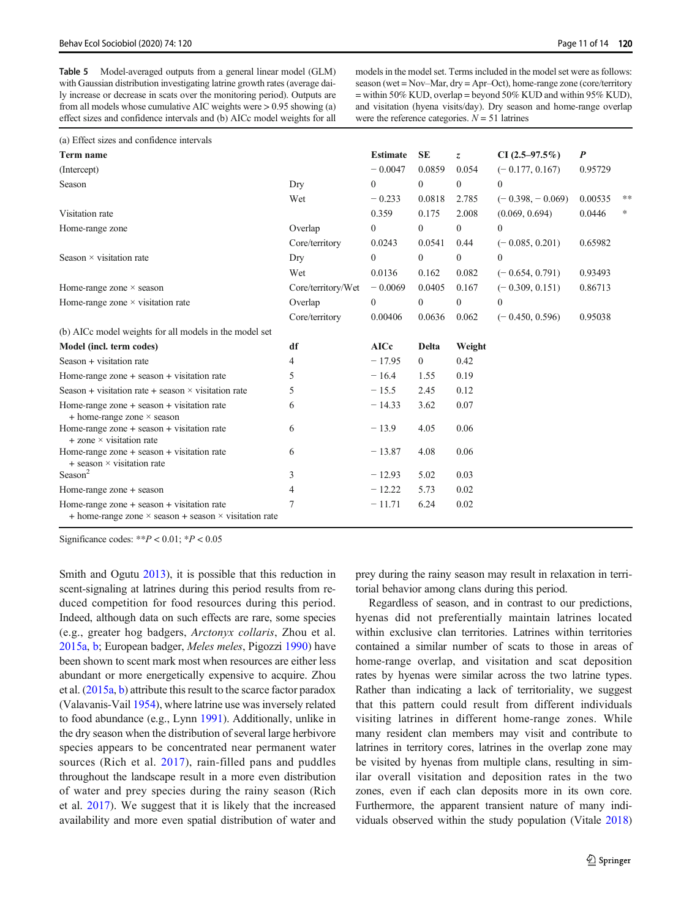<span id="page-10-0"></span>Table 5 Model-averaged outputs from a general linear model (GLM) with Gaussian distribution investigating latrine growth rates (average daily increase or decrease in scats over the monitoring period). Outputs are from all models whose cumulative AIC weights were > 0.95 showing (a) effect sizes and confidence intervals and (b) AICc model weights for all

models in the model set. Terms included in the model set were as follows: season (wet = Nov–Mar, dry = Apr–Oct), home-range zone (core/territory = within 50% KUD, overlap = beyond 50% KUD and within 95% KUD), and visitation (hyena visits/day). Dry season and home-range overlap were the reference categories.  $N = 51$  latrines

| (a) Effect sizes and confidence intervals                                                                                 |                    |                 |                |                |                    |         |       |
|---------------------------------------------------------------------------------------------------------------------------|--------------------|-----------------|----------------|----------------|--------------------|---------|-------|
| Term name                                                                                                                 |                    | <b>Estimate</b> | <b>SE</b>      | $\overline{z}$ | $CI(2.5-97.5\%)$   | P       |       |
| (Intercept)                                                                                                               |                    | $-0.0047$       | 0.0859         | 0.054          | $(-0.177, 0.167)$  | 0.95729 |       |
| Season                                                                                                                    | Dry                | $\overline{0}$  | $\mathbf{0}$   | $\overline{0}$ | $\theta$           |         |       |
|                                                                                                                           | Wet                | $-0.233$        | 0.0818         | 2.785          | $(-0.398, -0.069)$ | 0.00535 | $***$ |
| Visitation rate                                                                                                           |                    | 0.359           | 0.175          | 2.008          | (0.069, 0.694)     | 0.0446  | *     |
| Home-range zone                                                                                                           | Overlap            | $\theta$        | $\mathbf{0}$   | $\overline{0}$ | $\theta$           |         |       |
|                                                                                                                           | Core/territory     | 0.0243          | 0.0541         | 0.44           | $(-0.085, 0.201)$  | 0.65982 |       |
| Season $\times$ visitation rate                                                                                           | Dry                | $\theta$        | $\Omega$       | $\Omega$       | $\theta$           |         |       |
|                                                                                                                           | Wet                | 0.0136          | 0.162          | 0.082          | $(-0.654, 0.791)$  | 0.93493 |       |
| Home-range zone $\times$ season                                                                                           | Core/territory/Wet | $-0.0069$       | 0.0405         | 0.167          | $(-0.309, 0.151)$  | 0.86713 |       |
| Home-range zone $\times$ visitation rate                                                                                  | Overlap            | $\theta$        | $\mathbf{0}$   | $\overline{0}$ | $\theta$           |         |       |
|                                                                                                                           | Core/territory     | 0.00406         | 0.0636         | 0.062          | $(-0.450, 0.596)$  | 0.95038 |       |
| (b) AICc model weights for all models in the model set                                                                    |                    |                 |                |                |                    |         |       |
| Model (incl. term codes)                                                                                                  | df                 | <b>AICc</b>     | <b>Delta</b>   | Weight         |                    |         |       |
| Season + visitation rate                                                                                                  | 4                  | $-17.95$        | $\overline{0}$ | 0.42           |                    |         |       |
| Home-range zone $+$ season $+$ visitation rate                                                                            | 5                  | $-16.4$         | 1.55           | 0.19           |                    |         |       |
| Season + visitation rate + season $\times$ visitation rate                                                                | 5                  | $-15.5$         | 2.45           | 0.12           |                    |         |       |
| Home-range zone $+$ season $+$ visitation rate<br>$+$ home-range zone $\times$ season                                     | 6                  | $-14.33$        | 3.62           | 0.07           |                    |         |       |
| Home-range zone $+$ season $+$ visitation rate<br>$+$ zone $\times$ visitation rate                                       | 6                  | $-13.9$         | 4.05           | 0.06           |                    |         |       |
| Home-range zone $+$ season $+$ visitation rate<br>$+$ season $\times$ visitation rate                                     | 6                  | $-13.87$        | 4.08           | 0.06           |                    |         |       |
| Season <sup>2</sup>                                                                                                       | 3                  | $-12.93$        | 5.02           | 0.03           |                    |         |       |
| Home-range zone + season                                                                                                  | 4                  | $-12.22$        | 5.73           | 0.02           |                    |         |       |
| Home-range zone $+$ season $+$ visitation rate<br>$+$ home-range zone $\times$ season $+$ season $\times$ visitation rate | 7                  | $-11.71$        | 6.24           | 0.02           |                    |         |       |

Significance codes: \*\* $P < 0.01$ ; \* $P < 0.05$ 

Smith and Ogutu [2013\)](#page-12-0), it is possible that this reduction in scent-signaling at latrines during this period results from reduced competition for food resources during this period. Indeed, although data on such effects are rare, some species (e.g., greater hog badgers, Arctonyx collaris, Zhou et al. [2015a,](#page-13-0) [b;](#page-13-0) European badger, Meles meles, Pigozzi [1990\)](#page-12-0) have been shown to scent mark most when resources are either less abundant or more energetically expensive to acquire. Zhou et al. [\(2015a,](#page-13-0) [b](#page-13-0)) attribute this result to the scarce factor paradox (Valavanis-Vail [1954](#page-13-0)), where latrine use was inversely related to food abundance (e.g., Lynn [1991\)](#page-12-0). Additionally, unlike in the dry season when the distribution of several large herbivore species appears to be concentrated near permanent water sources (Rich et al. [2017](#page-13-0)), rain-filled pans and puddles throughout the landscape result in a more even distribution of water and prey species during the rainy season (Rich et al. [2017\)](#page-13-0). We suggest that it is likely that the increased availability and more even spatial distribution of water and

prey during the rainy season may result in relaxation in territorial behavior among clans during this period.

Regardless of season, and in contrast to our predictions, hyenas did not preferentially maintain latrines located within exclusive clan territories. Latrines within territories contained a similar number of scats to those in areas of home-range overlap, and visitation and scat deposition rates by hyenas were similar across the two latrine types. Rather than indicating a lack of territoriality, we suggest that this pattern could result from different individuals visiting latrines in different home-range zones. While many resident clan members may visit and contribute to latrines in territory cores, latrines in the overlap zone may be visited by hyenas from multiple clans, resulting in similar overall visitation and deposition rates in the two zones, even if each clan deposits more in its own core. Furthermore, the apparent transient nature of many individuals observed within the study population (Vitale [2018](#page-13-0))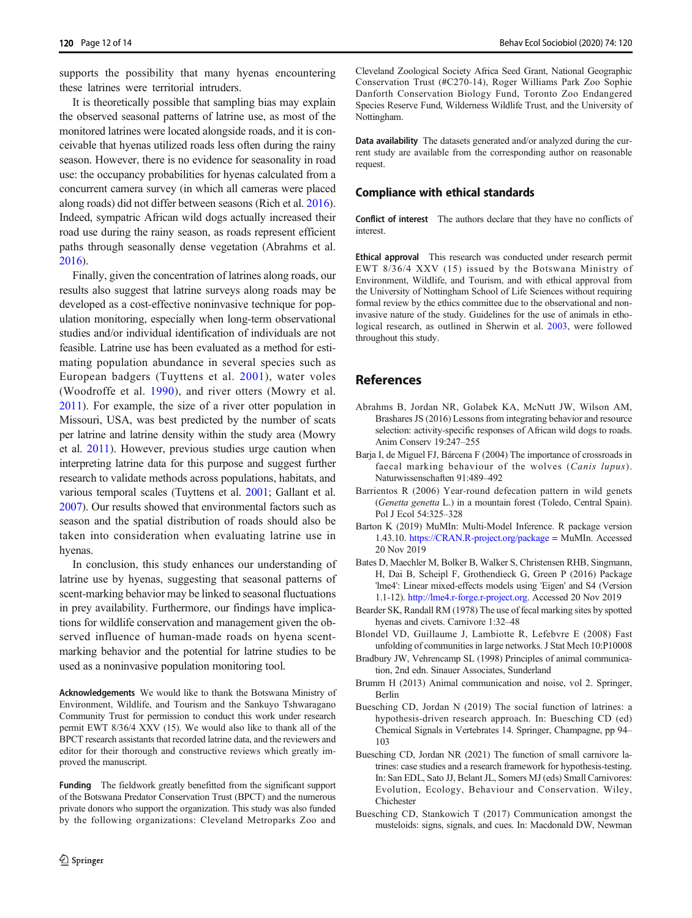<span id="page-11-0"></span>supports the possibility that many hyenas encountering these latrines were territorial intruders.

It is theoretically possible that sampling bias may explain the observed seasonal patterns of latrine use, as most of the monitored latrines were located alongside roads, and it is conceivable that hyenas utilized roads less often during the rainy season. However, there is no evidence for seasonality in road use: the occupancy probabilities for hyenas calculated from a concurrent camera survey (in which all cameras were placed along roads) did not differ between seasons (Rich et al. [2016\)](#page-13-0). Indeed, sympatric African wild dogs actually increased their road use during the rainy season, as roads represent efficient paths through seasonally dense vegetation (Abrahms et al. 2016).

Finally, given the concentration of latrines along roads, our results also suggest that latrine surveys along roads may be developed as a cost-effective noninvasive technique for population monitoring, especially when long-term observational studies and/or individual identification of individuals are not feasible. Latrine use has been evaluated as a method for estimating population abundance in several species such as European badgers (Tuyttens et al. [2001](#page-13-0)), water voles (Woodroffe et al. [1990](#page-13-0)), and river otters (Mowry et al. [2011\)](#page-12-0). For example, the size of a river otter population in Missouri, USA, was best predicted by the number of scats per latrine and latrine density within the study area (Mowry et al. [2011\)](#page-12-0). However, previous studies urge caution when interpreting latrine data for this purpose and suggest further research to validate methods across populations, habitats, and various temporal scales (Tuyttens et al. [2001](#page-13-0); Gallant et al. [2007\)](#page-12-0). Our results showed that environmental factors such as season and the spatial distribution of roads should also be taken into consideration when evaluating latrine use in hyenas.

In conclusion, this study enhances our understanding of latrine use by hyenas, suggesting that seasonal patterns of scent-marking behavior may be linked to seasonal fluctuations in prey availability. Furthermore, our findings have implications for wildlife conservation and management given the observed influence of human-made roads on hyena scentmarking behavior and the potential for latrine studies to be used as a noninvasive population monitoring tool.

Acknowledgements We would like to thank the Botswana Ministry of Environment, Wildlife, and Tourism and the Sankuyo Tshwaragano Community Trust for permission to conduct this work under research permit EWT 8/36/4 XXV (15). We would also like to thank all of the BPCT research assistants that recorded latrine data, and the reviewers and editor for their thorough and constructive reviews which greatly improved the manuscript.

Funding The fieldwork greatly benefitted from the significant support of the Botswana Predator Conservation Trust (BPCT) and the numerous private donors who support the organization. This study was also funded by the following organizations: Cleveland Metroparks Zoo and Cleveland Zoological Society Africa Seed Grant, National Geographic Conservation Trust (#C270-14), Roger Williams Park Zoo Sophie Danforth Conservation Biology Fund, Toronto Zoo Endangered Species Reserve Fund, Wilderness Wildlife Trust, and the University of Nottingham.

Data availability The datasets generated and/or analyzed during the current study are available from the corresponding author on reasonable request.

#### Compliance with ethical standards

Conflict of interest The authors declare that they have no conflicts of interest.

Ethical approval This research was conducted under research permit EWT 8/36/4 XXV (15) issued by the Botswana Ministry of Environment, Wildlife, and Tourism, and with ethical approval from the University of Nottingham School of Life Sciences without requiring formal review by the ethics committee due to the observational and noninvasive nature of the study. Guidelines for the use of animals in ethological research, as outlined in Sherwin et al. [2003,](#page-13-0) were followed throughout this study.

# **References**

- Abrahms B, Jordan NR, Golabek KA, McNutt JW, Wilson AM, Brashares JS (2016) Lessons from integrating behavior and resource selection: activity-specific responses of African wild dogs to roads. Anim Conserv 19:247–255
- Barja I, de Miguel FJ, Bárcena F (2004) The importance of crossroads in faecal marking behaviour of the wolves (Canis lupus). Naturwissenschaften 91:489–492
- Barrientos R (2006) Year-round defecation pattern in wild genets (Genetta genetta L.) in a mountain forest (Toledo, Central Spain). Pol J Ecol 54:325–328
- Barton K (2019) MuMIn: Multi-Model Inference. R package version 1.43.10. [https://CRAN.R-project.org/package](https://CRAN.R-roject.org/package) = MuMIn. Accessed 20 Nov 2019
- Bates D, Maechler M, Bolker B, Walker S, Christensen RHB, Singmann, H, Dai B, Scheipl F, Grothendieck G, Green P (2016) Package 'lme4': Linear mixed-effects models using 'Eigen' and S4 (Version 1.1-12). [http://lme4.r-forge.r-project.org.](http://lme4.rorge.r-roject.org) Accessed 20 Nov 2019
- Bearder SK, Randall RM (1978) The use of fecal marking sites by spotted hyenas and civets. Carnivore 1:32–48
- Blondel VD, Guillaume J, Lambiotte R, Lefebvre E (2008) Fast unfolding of communities in large networks. J Stat Mech 10:P10008
- Bradbury JW, Vehrencamp SL (1998) Principles of animal communication, 2nd edn. Sinauer Associates, Sunderland
- Brumm H (2013) Animal communication and noise, vol 2. Springer, Berlin
- Buesching CD, Jordan N (2019) The social function of latrines: a hypothesis-driven research approach. In: Buesching CD (ed) Chemical Signals in Vertebrates 14. Springer, Champagne, pp 94– 103
- Buesching CD, Jordan NR (2021) The function of small carnivore latrines: case studies and a research framework for hypothesis-testing. In: San EDL, Sato JJ, Belant JL, Somers MJ (eds) Small Carnivores: Evolution, Ecology, Behaviour and Conservation. Wiley, Chichester
- Buesching CD, Stankowich T (2017) Communication amongst the musteloids: signs, signals, and cues. In: Macdonald DW, Newman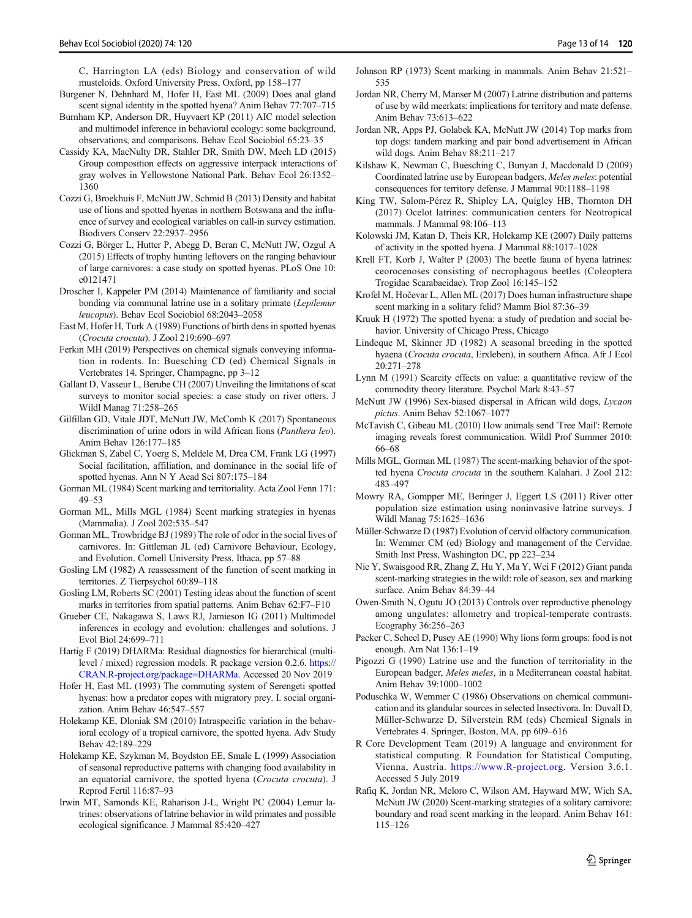<span id="page-12-0"></span>C, Harrington LA (eds) Biology and conservation of wild musteloids. Oxford University Press, Oxford, pp 158–177

- Burgener N, Dehnhard M, Hofer H, East ML (2009) Does anal gland scent signal identity in the spotted hyena? Anim Behav 77:707–715
- Burnham KP, Anderson DR, Huyvaert KP (2011) AIC model selection and multimodel inference in behavioral ecology: some background, observations, and comparisons. Behav Ecol Sociobiol 65:23–35
- Cassidy KA, MacNulty DR, Stahler DR, Smith DW, Mech LD (2015) Group composition effects on aggressive interpack interactions of gray wolves in Yellowstone National Park. Behav Ecol 26:1352– 1360
- Cozzi G, Broekhuis F, McNutt JW, Schmid B (2013) Density and habitat use of lions and spotted hyenas in northern Botswana and the influence of survey and ecological variables on call-in survey estimation. Biodivers Conserv 22:2937–2956
- Cozzi G, Börger L, Hutter P, Abegg D, Beran C, McNutt JW, Ozgul A (2015) Effects of trophy hunting leftovers on the ranging behaviour of large carnivores: a case study on spotted hyenas. PLoS One 10: e0121471
- Droscher I, Kappeler PM (2014) Maintenance of familiarity and social bonding via communal latrine use in a solitary primate (Lepilemur leucopus). Behav Ecol Sociobiol 68:2043–2058
- East M, Hofer H, Turk A (1989) Functions of birth dens in spotted hyenas (Crocuta crocuta). J Zool 219:690–697
- Ferkin MH (2019) Perspectives on chemical signals conveying information in rodents. In: Buesching CD (ed) Chemical Signals in Vertebrates 14. Springer, Champagne, pp 3–12
- Gallant D, Vasseur L, Berube CH (2007) Unveiling the limitations of scat surveys to monitor social species: a case study on river otters. J Wildl Manag 71:258–265
- Gilfillan GD, Vitale JDT, McNutt JW, McComb K (2017) Spontaneous discrimination of urine odors in wild African lions (Panthera leo). Anim Behav 126:177–185
- Glickman S, Zabel C, Yoerg S, Meldele M, Drea CM, Frank LG (1997) Social facilitation, affiliation, and dominance in the social life of spotted hyenas. Ann N Y Acad Sci 807:175–184
- Gorman ML (1984) Scent marking and territoriality. Acta Zool Fenn 171: 49–53
- Gorman ML, Mills MGL (1984) Scent marking strategies in hyenas (Mammalia). J Zool 202:535–547
- Gorman ML, Trowbridge BJ (1989) The role of odor in the social lives of carnivores. In: Gittleman JL (ed) Carnivore Behaviour, Ecology, and Evolution. Cornell University Press, Ithaca, pp 57–88
- Gosling LM (1982) A reassessment of the function of scent marking in territories. Z Tierpsychol 60:89–118
- Gosling LM, Roberts SC (2001) Testing ideas about the function of scent marks in territories from spatial patterns. Anim Behav 62:F7–F10
- Grueber CE, Nakagawa S, Laws RJ, Jamieson IG (2011) Multimodel inferences in ecology and evolution: challenges and solutions. J Evol Biol 24:699–711
- Hartig F (2019) DHARMa: Residual diagnostics for hierarchical (multilevel / mixed) regression models. R package version 0.2.6. [https://](https://CRAN.R-roject.org/package=HARMa) [CRAN.R-project.org/package=DHARMa.](https://CRAN.R-roject.org/package=HARMa) Accessed 20 Nov 2019
- Hofer H, East ML (1993) The commuting system of Serengeti spotted hyenas: how a predator copes with migratory prey. I. social organization. Anim Behav 46:547–557
- Holekamp KE, Dloniak SM (2010) Intraspecific variation in the behavioral ecology of a tropical carnivore, the spotted hyena. Adv Study Behav 42:189–229
- Holekamp KE, Szykman M, Boydston EE, Smale L (1999) Association of seasonal reproductive patterns with changing food availability in an equatorial carnivore, the spotted hyena (Crocuta crocuta). J Reprod Fertil 116:87–93
- Irwin MT, Samonds KE, Raharison J-L, Wright PC (2004) Lemur latrines: observations of latrine behavior in wild primates and possible ecological significance. J Mammal 85:420–427
- Johnson RP (1973) Scent marking in mammals. Anim Behav 21:521– 535
- Jordan NR, Cherry M, Manser M (2007) Latrine distribution and patterns of use by wild meerkats: implications for territory and mate defense. Anim Behav 73:613–622
- Jordan NR, Apps PJ, Golabek KA, McNutt JW (2014) Top marks from top dogs: tandem marking and pair bond advertisement in African wild dogs. Anim Behav 88:211–217
- Kilshaw K, Newman C, Buesching C, Bunyan J, Macdonald D (2009) Coordinated latrine use by European badgers, Meles meles: potential consequences for territory defense. J Mammal 90:1188–1198
- King TW, Salom-Pérez R, Shipley LA, Quigley HB, Thornton DH (2017) Ocelot latrines: communication centers for Neotropical mammals. J Mammal 98:106–113
- Kolowski JM, Katan D, Theis KR, Holekamp KE (2007) Daily patterns of activity in the spotted hyena. J Mammal 88:1017–1028
- Krell FT, Korb J, Walter P (2003) The beetle fauna of hyena latrines: ceorocenoses consisting of necrophagous beetles (Coleoptera Trogidae Scarabaeidae). Trop Zool 16:145–152
- Krofel M, Hočevar L, Allen ML (2017) Does human infrastructure shape scent marking in a solitary felid? Mamm Biol 87:36–39
- Kruuk H (1972) The spotted hyena: a study of predation and social behavior. University of Chicago Press, Chicago
- Lindeque M, Skinner JD (1982) A seasonal breeding in the spotted hyaena (Crocuta crocuta, Erxleben), in southern Africa. Afr J Ecol 20:271–278
- Lynn M (1991) Scarcity effects on value: a quantitative review of the commodity theory literature. Psychol Mark 8:43–57
- McNutt JW (1996) Sex-biased dispersal in African wild dogs, Lycaon pictus. Anim Behav 52:1067–1077
- McTavish C, Gibeau ML (2010) How animals send 'Tree Mail': Remote imaging reveals forest communication. Wildl Prof Summer 2010: 66–68
- Mills MGL, Gorman ML (1987) The scent-marking behavior of the spotted hyena Crocuta crocuta in the southern Kalahari. J Zool 212: 483–497
- Mowry RA, Gompper ME, Beringer J, Eggert LS (2011) River otter population size estimation using noninvasive latrine surveys. J Wildl Manag 75:1625–1636
- Müller-Schwarze D (1987) Evolution of cervid olfactory communication. In: Wemmer CM (ed) Biology and management of the Cervidae. Smith Inst Press, Washington DC, pp 223–234
- Nie Y, Swaisgood RR, Zhang Z, Hu Y, Ma Y, Wei F (2012) Giant panda scent-marking strategies in the wild: role of season, sex and marking surface. Anim Behav 84:39–44
- Owen-Smith N, Ogutu JO (2013) Controls over reproductive phenology among ungulates: allometry and tropical-temperate contrasts. Ecography 36:256–263
- Packer C, Scheel D, Pusey AE (1990) Why lions form groups: food is not enough. Am Nat 136:1–19
- Pigozzi G (1990) Latrine use and the function of territoriality in the European badger, Meles meles, in a Mediterranean coastal habitat. Anim Behav 39:1000–1002
- Poduschka W, Wemmer C (1986) Observations on chemical communication and its glandular sources in selected Insectivora. In: Duvall D, Müller-Schwarze D, Silverstein RM (eds) Chemical Signals in Vertebrates 4. Springer, Boston, MA, pp 609–616
- R Core Development Team (2019) A language and environment for statistical computing. R Foundation for Statistical Computing, Vienna, Austria. [https://www.R-project.org](https://www.R-roject.org). Version 3.6.1. Accessed 5 July 2019
- Rafiq K, Jordan NR, Meloro C, Wilson AM, Hayward MW, Wich SA, McNutt JW (2020) Scent-marking strategies of a solitary carnivore: boundary and road scent marking in the leopard. Anim Behav 161: 115–126